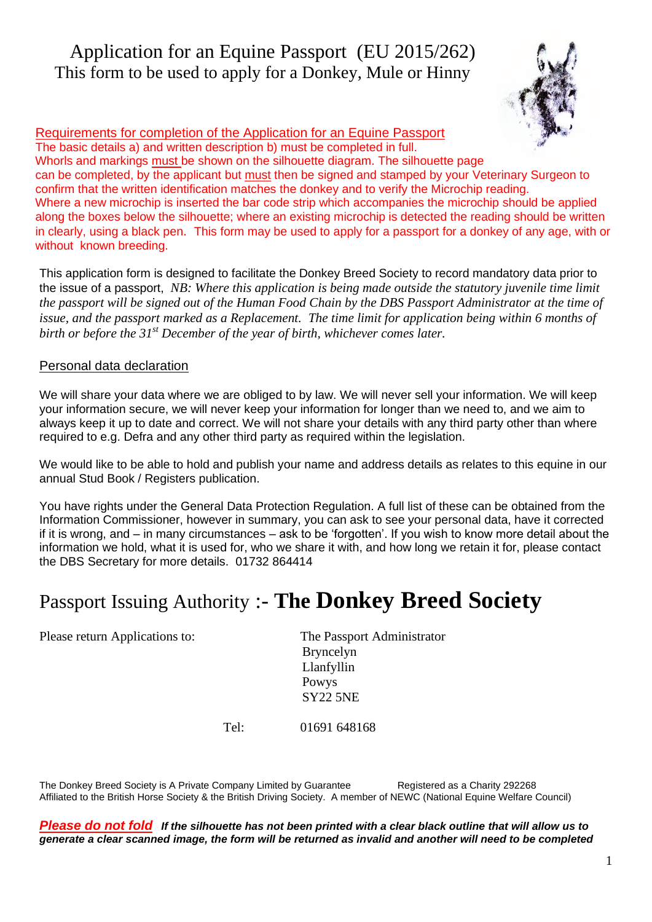## Application for an Equine Passport (EU 2015/262) This form to be used to apply for a Donkey, Mule or Hinny



 Requirements for completion of the Application for an Equine Passport The basic details a) and written description b) must be completed in full. Whorls and markings must be shown on the silhouette diagram. The silhouette page can be completed, by the applicant but must then be signed and stamped by your Veterinary Surgeon to confirm that the written identification matches the donkey and to verify the Microchip reading. Where a new microchip is inserted the bar code strip which accompanies the microchip should be applied along the boxes below the silhouette; where an existing microchip is detected the reading should be written in clearly, using a black pen. This form may be used to apply for a passport for a donkey of any age, with or without known breeding.

This application form is designed to facilitate the Donkey Breed Society to record mandatory data prior to the issue of a passport, *NB: Where this application is being made outside the statutory juvenile time limit the passport will be signed out of the Human Food Chain by the DBS Passport Administrator at the time of issue, and the passport marked as a Replacement. The time limit for application being within 6 months of birth or before the 31st December of the year of birth, whichever comes later.*

### Personal data declaration

We will share your data where we are obliged to by law. We will never sell your information. We will keep your information secure, we will never keep your information for longer than we need to, and we aim to always keep it up to date and correct. We will not share your details with any third party other than where required to e.g. Defra and any other third party as required within the legislation.

We would like to be able to hold and publish your name and address details as relates to this equine in our annual Stud Book / Registers publication.

You have rights under the General Data Protection Regulation. A full list of these can be obtained from the Information Commissioner, however in summary, you can ask to see your personal data, have it corrected if it is wrong, and – in many circumstances – ask to be 'forgotten'. If you wish to know more detail about the information we hold, what it is used for, who we share it with, and how long we retain it for, please contact the DBS Secretary for more details. 01732 864414

# Passport Issuing Authority :- **The Donkey Breed Society**

Please return Applications to: The Passport Administrator

 Bryncelyn Llanfyllin Powys SY22 5NE

Tel: 01691 648168

The Donkey Breed Society is A Private Company Limited by Guarantee Registered as a Charity 292268 Affiliated to the British Horse Society & the British Driving Society. A member of NEWC (National Equine Welfare Council)

*Please do not fold If the silhouette has not been printed with a clear black outline that will allow us to generate a clear scanned image, the form will be returned as invalid and another will need to be completed*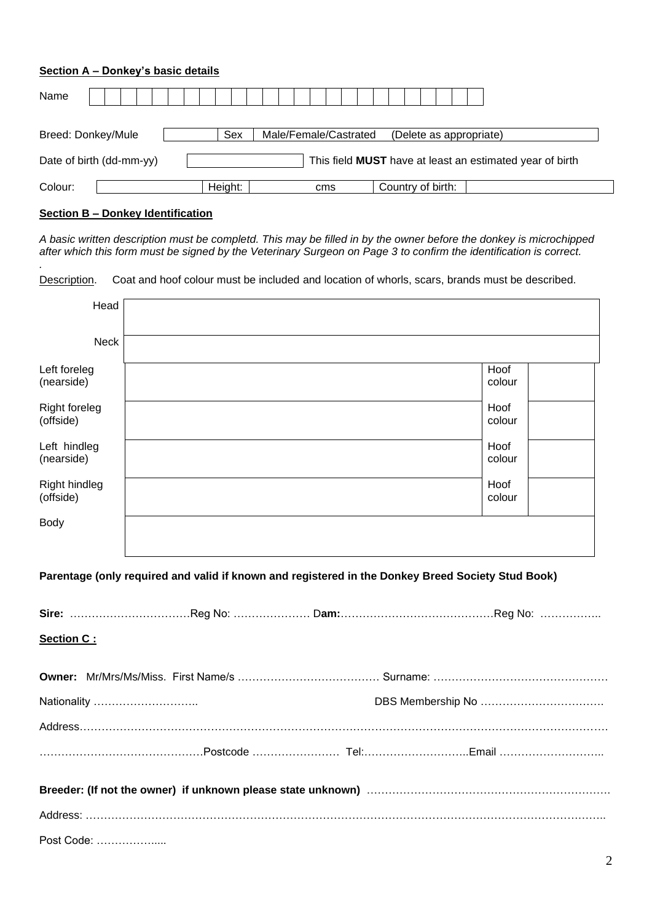#### **Section A – Donkey's basic details**

| Name                     |  |  |                                                                 |         |     |  |                       |  |     |  |  |                   |  |  |                         |
|--------------------------|--|--|-----------------------------------------------------------------|---------|-----|--|-----------------------|--|-----|--|--|-------------------|--|--|-------------------------|
| Breed: Donkey/Mule       |  |  |                                                                 |         | Sex |  | Male/Female/Castrated |  |     |  |  |                   |  |  | (Delete as appropriate) |
| Date of birth (dd-mm-yy) |  |  | This field <b>MUST</b> have at least an estimated year of birth |         |     |  |                       |  |     |  |  |                   |  |  |                         |
| Colour:                  |  |  |                                                                 | Height: |     |  |                       |  | cms |  |  | Country of birth: |  |  |                         |

#### **Section B – Donkey Identification**

*.* 

*A basic written description must be completd. This may be filled in by the owner before the donkey is microchipped after which this form must be signed by the Veterinary Surgeon on Page 3 to confirm the identification is correct.* 

Description. Coat and hoof colour must be included and location of whorls, scars, brands must be described.

| Head                              |                                                                                                   |  |                |  |  |  |  |
|-----------------------------------|---------------------------------------------------------------------------------------------------|--|----------------|--|--|--|--|
| <b>Neck</b>                       |                                                                                                   |  |                |  |  |  |  |
| Left foreleg<br>(nearside)        |                                                                                                   |  | Hoof<br>colour |  |  |  |  |
| <b>Right foreleg</b><br>(offside) |                                                                                                   |  | Hoof<br>colour |  |  |  |  |
| Left hindleg<br>(nearside)        |                                                                                                   |  | Hoof<br>colour |  |  |  |  |
| <b>Right hindleg</b><br>(offside) |                                                                                                   |  | Hoof<br>colour |  |  |  |  |
| Body                              |                                                                                                   |  |                |  |  |  |  |
|                                   | Parentage (only required and valid if known and registered in the Donkey Breed Society Stud Book) |  |                |  |  |  |  |
|                                   |                                                                                                   |  |                |  |  |  |  |
| Section C:                        |                                                                                                   |  |                |  |  |  |  |
|                                   |                                                                                                   |  |                |  |  |  |  |
| Nationality                       |                                                                                                   |  |                |  |  |  |  |
|                                   |                                                                                                   |  |                |  |  |  |  |

| Post Code: |  |  |
|------------|--|--|

2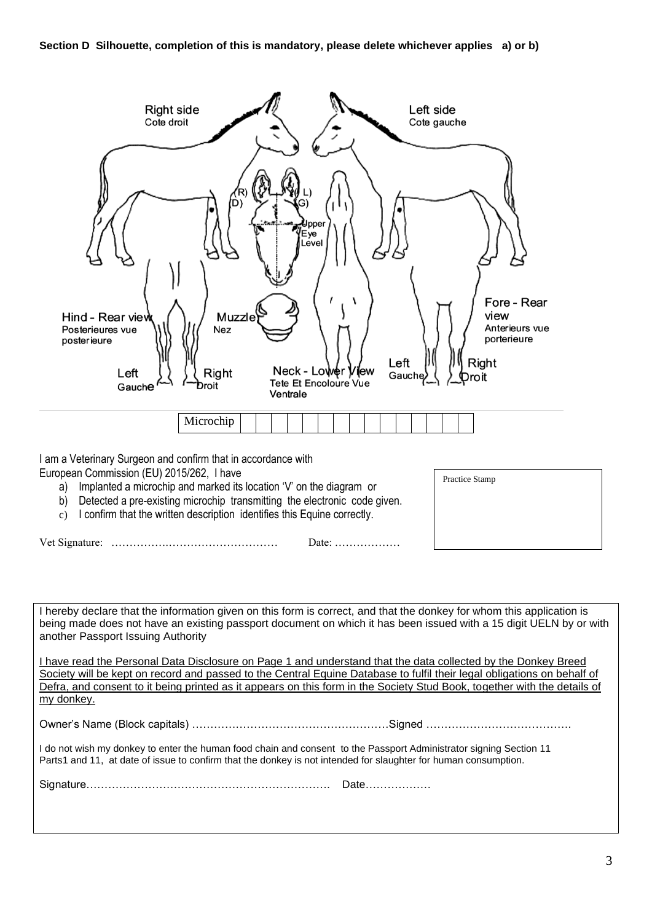

I am a Veterinary Surgeon and confirm that in accordance with European Commission (EU) 2015/262, I have

- a) Implanted a microchip and marked its location 'V' on the diagram or
- b) Detected a pre-existing microchip transmitting the electronic code given.
- c) I confirm that the written description identifies this Equine correctly.

Vet Signature: …………….………………………… Date: ………………

Practice Stamp

I hereby declare that the information given on this form is correct, and that the donkey for whom this application is being made does not have an existing passport document on which it has been issued with a 15 digit UELN by or with another Passport Issuing Authority

I have read the Personal Data Disclosure on Page 1 and understand that the data collected by the Donkey Breed Society will be kept on record and passed to the Central Equine Database to fulfil their legal obligations on behalf of Defra, and consent to it being printed as it appears on this form in the Society Stud Book, together with the details of my donkey.

Owner's Name (Block capitals) ………………………………………………Signed ………………………………….

I do not wish my donkey to enter the human food chain and consent to the Passport Administrator signing Section 11 Parts1 and 11, at date of issue to confirm that the donkey is not intended for slaughter for human consumption.

Signature…………………………………………………………. Date………………